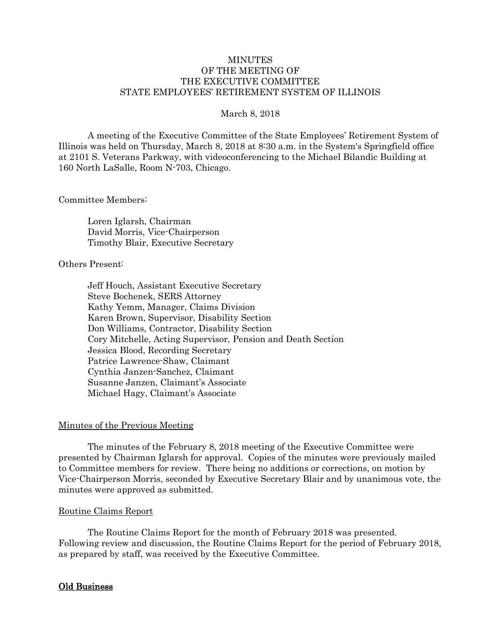# **MINUTES** OF THE MEETING OF THE EXECUTIVE COMMITTEE STATE EMPLOYEES' RETIREMENT SYSTEM OF ILLINOIS

### March 8, 2018

A meeting of the Executive Committee of the State Employees' Retirement System of Illinois was held on Thursday, March 8, 2018 at 8:30 a.m. in the System's Springfield office at 2101 S. Veterans Parkway, with videoconferencing to the Michael Bilandic Building at 160 North LaSalle, Room N-703, Chicago.

#### Committee Members:

Loren Iglarsh, Chairman David Morris, Vice-Chairperson Timothy Blair, Executive Secretary

## Others Present:

Jeff Houch, Assistant Executive Secretary Steve Bochenek, SERS Attorney Kathy Yemm, Manager, Claims Division Karen Brown, Supervisor, Disability Section Don Williams, Contractor, Disability Section Cory Mitchelle, Acting Supervisor, Pension and Death Section Jessica Blood, Recording Secretary Patrice Lawrence-Shaw, Claimant Cynthia Janzen-Sanchez, Claimant Susanne Janzen, Claimant's Associate Michael Hagy, Claimant's Associate

### Minutes of the Previous Meeting

The minutes of the February 8, 2018 meeting of the Executive Committee were presented by Chairman Iglarsh for approval. Copies of the minutes were previously mailed to Committee members for review. There being no additions or corrections, on motion by Vice-Chairperson Morris, seconded by Executive Secretary Blair and by unanimous vote, the minutes were approved as submitted.

#### Routine Claims Report

The Routine Claims Report for the month of February 2018 was presented. Following review and discussion, the Routine Claims Report for the period of February 2018, as prepared by staff, was received by the Executive Committee.

## Old Business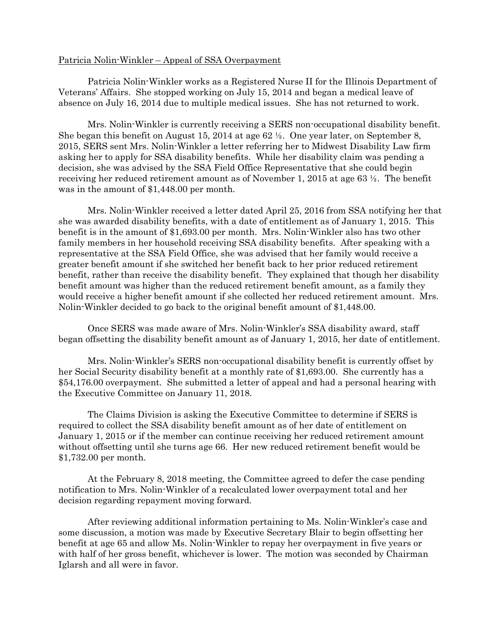### Patricia Nolin-Winkler – Appeal of SSA Overpayment

Patricia Nolin-Winkler works as a Registered Nurse II for the Illinois Department of Veterans' Affairs. She stopped working on July 15, 2014 and began a medical leave of absence on July 16, 2014 due to multiple medical issues. She has not returned to work.

Mrs. Nolin-Winkler is currently receiving a SERS non-occupational disability benefit. She began this benefit on August 15, 2014 at age 62 ½. One year later, on September 8, 2015, SERS sent Mrs. Nolin-Winkler a letter referring her to Midwest Disability Law firm asking her to apply for SSA disability benefits. While her disability claim was pending a decision, she was advised by the SSA Field Office Representative that she could begin receiving her reduced retirement amount as of November 1, 2015 at age 63 ½. The benefit was in the amount of \$1,448.00 per month.

Mrs. Nolin-Winkler received a letter dated April 25, 2016 from SSA notifying her that she was awarded disability benefits, with a date of entitlement as of January 1, 2015. This benefit is in the amount of \$1,693.00 per month. Mrs. Nolin-Winkler also has two other family members in her household receiving SSA disability benefits. After speaking with a representative at the SSA Field Office, she was advised that her family would receive a greater benefit amount if she switched her benefit back to her prior reduced retirement benefit, rather than receive the disability benefit. They explained that though her disability benefit amount was higher than the reduced retirement benefit amount, as a family they would receive a higher benefit amount if she collected her reduced retirement amount. Mrs. Nolin-Winkler decided to go back to the original benefit amount of \$1,448.00.

Once SERS was made aware of Mrs. Nolin-Winkler's SSA disability award, staff began offsetting the disability benefit amount as of January 1, 2015, her date of entitlement.

Mrs. Nolin-Winkler's SERS non-occupational disability benefit is currently offset by her Social Security disability benefit at a monthly rate of \$1,693.00. She currently has a \$54,176.00 overpayment. She submitted a letter of appeal and had a personal hearing with the Executive Committee on January 11, 2018.

The Claims Division is asking the Executive Committee to determine if SERS is required to collect the SSA disability benefit amount as of her date of entitlement on January 1, 2015 or if the member can continue receiving her reduced retirement amount without offsetting until she turns age 66. Her new reduced retirement benefit would be \$1,732.00 per month.

At the February 8, 2018 meeting, the Committee agreed to defer the case pending notification to Mrs. Nolin-Winkler of a recalculated lower overpayment total and her decision regarding repayment moving forward.

After reviewing additional information pertaining to Ms. Nolin-Winkler's case and some discussion, a motion was made by Executive Secretary Blair to begin offsetting her benefit at age 65 and allow Ms. Nolin-Winkler to repay her overpayment in five years or with half of her gross benefit, whichever is lower. The motion was seconded by Chairman Iglarsh and all were in favor.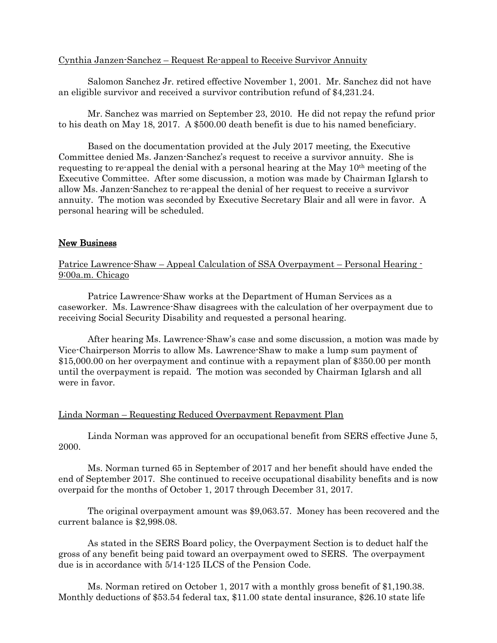### Cynthia Janzen-Sanchez – Request Re-appeal to Receive Survivor Annuity

Salomon Sanchez Jr. retired effective November 1, 2001. Mr. Sanchez did not have an eligible survivor and received a survivor contribution refund of \$4,231.24.

Mr. Sanchez was married on September 23, 2010. He did not repay the refund prior to his death on May 18, 2017. A \$500.00 death benefit is due to his named beneficiary.

Based on the documentation provided at the July 2017 meeting, the Executive Committee denied Ms. Janzen-Sanchez's request to receive a survivor annuity. She is requesting to re-appeal the denial with a personal hearing at the May 10th meeting of the Executive Committee. After some discussion, a motion was made by Chairman Iglarsh to allow Ms. Janzen-Sanchez to re-appeal the denial of her request to receive a survivor annuity. The motion was seconded by Executive Secretary Blair and all were in favor. A personal hearing will be scheduled.

## New Business

Patrice Lawrence-Shaw – Appeal Calculation of SSA Overpayment – Personal Hearing - 9:00a.m. Chicago

Patrice Lawrence-Shaw works at the Department of Human Services as a caseworker. Ms. Lawrence-Shaw disagrees with the calculation of her overpayment due to receiving Social Security Disability and requested a personal hearing.

After hearing Ms. Lawrence-Shaw's case and some discussion, a motion was made by Vice-Chairperson Morris to allow Ms. Lawrence-Shaw to make a lump sum payment of \$15,000.00 on her overpayment and continue with a repayment plan of \$350.00 per month until the overpayment is repaid. The motion was seconded by Chairman Iglarsh and all were in favor.

## Linda Norman – Requesting Reduced Overpayment Repayment Plan

Linda Norman was approved for an occupational benefit from SERS effective June 5, 2000.

Ms. Norman turned 65 in September of 2017 and her benefit should have ended the end of September 2017. She continued to receive occupational disability benefits and is now overpaid for the months of October 1, 2017 through December 31, 2017.

The original overpayment amount was \$9,063.57. Money has been recovered and the current balance is \$2,998.08.

As stated in the SERS Board policy, the Overpayment Section is to deduct half the gross of any benefit being paid toward an overpayment owed to SERS. The overpayment due is in accordance with 5/14-125 ILCS of the Pension Code.

Ms. Norman retired on October 1, 2017 with a monthly gross benefit of \$1,190.38. Monthly deductions of \$53.54 federal tax, \$11.00 state dental insurance, \$26.10 state life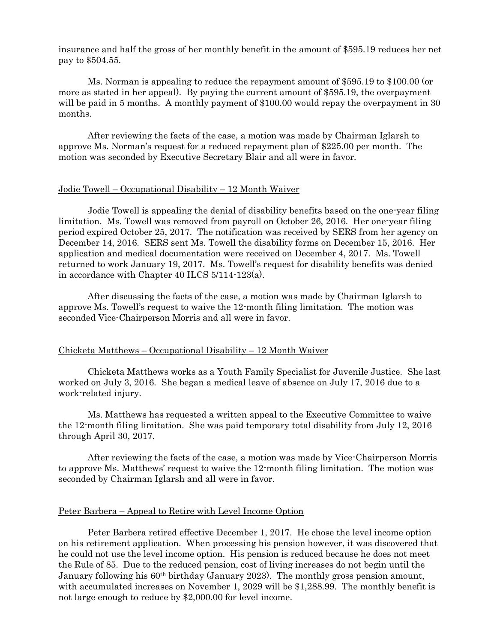insurance and half the gross of her monthly benefit in the amount of \$595.19 reduces her net pay to \$504.55.

Ms. Norman is appealing to reduce the repayment amount of \$595.19 to \$100.00 (or more as stated in her appeal). By paying the current amount of \$595.19, the overpayment will be paid in 5 months. A monthly payment of \$100.00 would repay the overpayment in 30 months.

After reviewing the facts of the case, a motion was made by Chairman Iglarsh to approve Ms. Norman's request for a reduced repayment plan of \$225.00 per month. The motion was seconded by Executive Secretary Blair and all were in favor.

#### Jodie Towell – Occupational Disability – 12 Month Waiver

Jodie Towell is appealing the denial of disability benefits based on the one-year filing limitation. Ms. Towell was removed from payroll on October 26, 2016. Her one-year filing period expired October 25, 2017. The notification was received by SERS from her agency on December 14, 2016. SERS sent Ms. Towell the disability forms on December 15, 2016. Her application and medical documentation were received on December 4, 2017. Ms. Towell returned to work January 19, 2017. Ms. Towell's request for disability benefits was denied in accordance with Chapter 40 ILCS 5/114-123(a).

After discussing the facts of the case, a motion was made by Chairman Iglarsh to approve Ms. Towell's request to waive the 12-month filing limitation. The motion was seconded Vice-Chairperson Morris and all were in favor.

### Chicketa Matthews – Occupational Disability – 12 Month Waiver

Chicketa Matthews works as a Youth Family Specialist for Juvenile Justice. She last worked on July 3, 2016. She began a medical leave of absence on July 17, 2016 due to a work-related injury.

Ms. Matthews has requested a written appeal to the Executive Committee to waive the 12-month filing limitation. She was paid temporary total disability from July 12, 2016 through April 30, 2017.

After reviewing the facts of the case, a motion was made by Vice-Chairperson Morris to approve Ms. Matthews' request to waive the 12-month filing limitation. The motion was seconded by Chairman Iglarsh and all were in favor.

#### Peter Barbera – Appeal to Retire with Level Income Option

Peter Barbera retired effective December 1, 2017. He chose the level income option on his retirement application. When processing his pension however, it was discovered that he could not use the level income option. His pension is reduced because he does not meet the Rule of 85. Due to the reduced pension, cost of living increases do not begin until the January following his 60th birthday (January 2023). The monthly gross pension amount, with accumulated increases on November 1, 2029 will be \$1,288.99. The monthly benefit is not large enough to reduce by \$2,000.00 for level income.